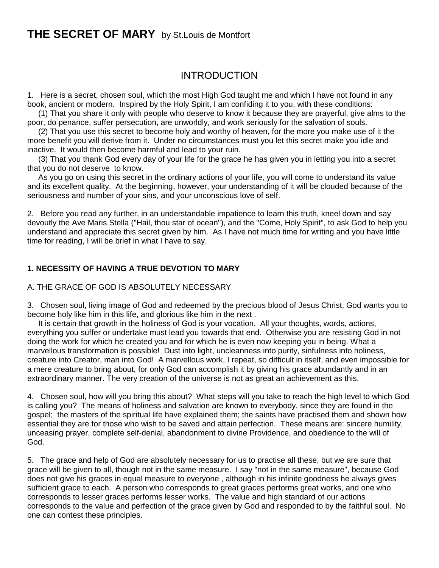# **THE SECRET OF MARY** by St.Louis de Montfort

## **INTRODUCTION**

1. Here is a secret, chosen soul, which the most High God taught me and which I have not found in any book, ancient or modern. Inspired by the Holy Spirit, I am confiding it to you, with these conditions:

 (1) That you share it only with people who deserve to know it because they are prayerful, give alms to the poor, do penance, suffer persecution, are unworldly, and work seriously for the salvation of souls.

 (2) That you use this secret to become holy and worthy of heaven, for the more you make use of it the more benefit you will derive from it. Under no circumstances must you let this secret make you idle and inactive. It would then become harmful and lead to your ruin.

 (3) That you thank God every day of your life for the grace he has given you in letting you into a secret that you do not deserve to know.

 As you go on using this secret in the ordinary actions of your life, you will come to understand its value and its excellent quality. At the beginning, however, your understanding of it will be clouded because of the seriousness and number of your sins, and your unconscious love of self.

2. Before you read any further, in an understandable impatience to learn this truth, kneel down and say devoutly the Ave Maris Stella ("Hail, thou star of ocean"), and the "Come, Holy Spirit", to ask God to help you understand and appreciate this secret given by him. As I have not much time for writing and you have little time for reading, I will be brief in what I have to say.

## **1. NECESSITY OF HAVING A TRUE DEVOTION TO MARY**

#### A. THE GRACE OF GOD IS ABSOLUTELY NECESSARY

3. Chosen soul, living image of God and redeemed by the precious blood of Jesus Christ, God wants you to become holy like him in this life, and glorious like him in the next .

 It is certain that growth in the holiness of God is your vocation. All your thoughts, words, actions, everything you suffer or undertake must lead you towards that end. Otherwise you are resisting God in not doing the work for which he created you and for which he is even now keeping you in being. What a marvellous transformation is possible! Dust into light, uncleanness into purity, sinfulness into holiness, creature into Creator, man into God! A marvellous work, I repeat, so difficult in itself, and even impossible for a mere creature to bring about, for only God can accomplish it by giving his grace abundantly and in an extraordinary manner. The very creation of the universe is not as great an achievement as this.

4. Chosen soul, how will you bring this about? What steps will you take to reach the high level to which God is calling you? The means of holiness and salvation are known to everybody, since they are found in the gospel; the masters of the spiritual life have explained them; the saints have practised them and shown how essential they are for those who wish to be saved and attain perfection. These means are: sincere humility, unceasing prayer, complete self-denial, abandonment to divine Providence, and obedience to the will of God.

5. The grace and help of God are absolutely necessary for us to practise all these, but we are sure that grace will be given to all, though not in the same measure. I say "not in the same measure", because God does not give his graces in equal measure to everyone , although in his infinite goodness he always gives sufficient grace to each. A person who corresponds to great graces performs great works, and one who corresponds to lesser graces performs lesser works. The value and high standard of our actions corresponds to the value and perfection of the grace given by God and responded to by the faithful soul. No one can contest these principles.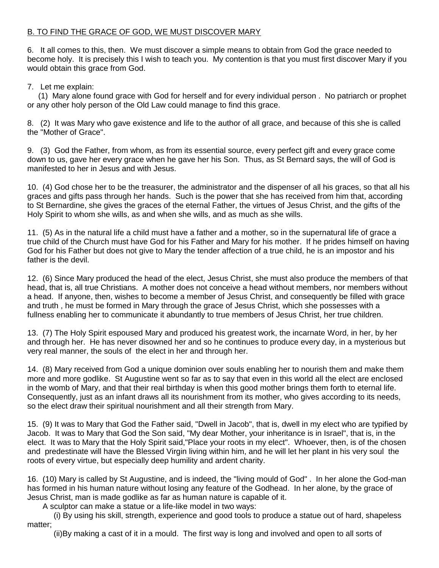## B. TO FIND THE GRACE OF GOD, WE MUST DISCOVER MARY

6. It all comes to this, then. We must discover a simple means to obtain from God the grace needed to become holy. It is precisely this I wish to teach you. My contention is that you must first discover Mary if you would obtain this grace from God.

#### 7. Let me explain:

 (1) Mary alone found grace with God for herself and for every individual person . No patriarch or prophet or any other holy person of the Old Law could manage to find this grace.

8. (2) It was Mary who gave existence and life to the author of all grace, and because of this she is called the "Mother of Grace".

9. (3) God the Father, from whom, as from its essential source, every perfect gift and every grace come down to us, gave her every grace when he gave her his Son. Thus, as St Bernard says, the will of God is manifested to her in Jesus and with Jesus.

10. (4) God chose her to be the treasurer, the administrator and the dispenser of all his graces, so that all his graces and gifts pass through her hands. Such is the power that she has received from him that, according to St Bernardine, she gives the graces of the eternal Father, the virtues of Jesus Christ, and the gifts of the Holy Spirit to whom she wills, as and when she wills, and as much as she wills.

11. (5) As in the natural life a child must have a father and a mother, so in the supernatural life of grace a true child of the Church must have God for his Father and Mary for his mother. If he prides himself on having God for his Father but does not give to Mary the tender affection of a true child, he is an impostor and his father is the devil.

12. (6) Since Mary produced the head of the elect, Jesus Christ, she must also produce the members of that head, that is, all true Christians. A mother does not conceive a head without members, nor members without a head. If anyone, then, wishes to become a member of Jesus Christ, and consequently be filled with grace and truth , he must be formed in Mary through the grace of Jesus Christ, which she possesses with a fullness enabling her to communicate it abundantly to true members of Jesus Christ, her true children.

13. (7) The Holy Spirit espoused Mary and produced his greatest work, the incarnate Word, in her, by her and through her. He has never disowned her and so he continues to produce every day, in a mysterious but very real manner, the souls of the elect in her and through her.

14. (8) Mary received from God a unique dominion over souls enabling her to nourish them and make them more and more godlike. St Augustine went so far as to say that even in this world all the elect are enclosed in the womb of Mary, and that their real birthday is when this good mother brings them forth to eternal life. Consequently, just as an infant draws all its nourishment from its mother, who gives according to its needs, so the elect draw their spiritual nourishment and all their strength from Mary.

15. (9) It was to Mary that God the Father said, "Dwell in Jacob", that is, dwell in my elect who are typified by Jacob. It was to Mary that God the Son said, "My dear Mother, your inheritance is in Israel", that is, in the elect. It was to Mary that the Holy Spirit said,"Place your roots in my elect". Whoever, then, is of the chosen and predestinate will have the Blessed Virgin living within him, and he will let her plant in his very soul the roots of every virtue, but especially deep humility and ardent charity.

16. (10) Mary is called by St Augustine, and is indeed, the "living mould of God" . In her alone the God-man has formed in his human nature without losing any feature of the Godhead. In her alone, by the grace of Jesus Christ, man is made godlike as far as human nature is capable of it.

A sculptor can make a statue or a life-like model in two ways:

 (i) By using his skill, strength, experience and good tools to produce a statue out of hard, shapeless matter;

(ii)By making a cast of it in a mould. The first way is long and involved and open to all sorts of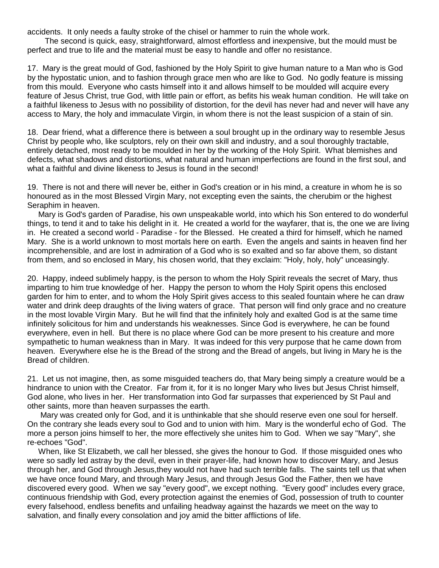accidents. It only needs a faulty stroke of the chisel or hammer to ruin the whole work.

 The second is quick, easy, straightforward, almost effortless and inexpensive, but the mould must be perfect and true to life and the material must be easy to handle and offer no resistance.

17. Mary is the great mould of God, fashioned by the Holy Spirit to give human nature to a Man who is God by the hypostatic union, and to fashion through grace men who are like to God. No godly feature is missing from this mould. Everyone who casts himself into it and allows himself to be moulded will acquire every feature of Jesus Christ, true God, with little pain or effort, as befits his weak human condition. He will take on a faithful likeness to Jesus with no possibility of distortion, for the devil has never had and never will have any access to Mary, the holy and immaculate Virgin, in whom there is not the least suspicion of a stain of sin.

18. Dear friend, what a difference there is between a soul brought up in the ordinary way to resemble Jesus Christ by people who, like sculptors, rely on their own skill and industry, and a soul thoroughly tractable, entirely detached, most ready to be moulded in her by the working of the Holy Spirit. What blemishes and defects, what shadows and distortions, what natural and human imperfections are found in the first soul, and what a faithful and divine likeness to Jesus is found in the second!

19. There is not and there will never be, either in God's creation or in his mind, a creature in whom he is so honoured as in the most Blessed Virgin Mary, not excepting even the saints, the cherubim or the highest Seraphim in heaven.

 Mary is God's garden of Paradise, his own unspeakable world, into which his Son entered to do wonderful things, to tend it and to take his delight in it. He created a world for the wayfarer, that is, the one we are living in. He created a second world - Paradise - for the Blessed. He created a third for himself, which he named Mary. She is a world unknown to most mortals here on earth. Even the angels and saints in heaven find her incomprehensible, and are lost in admiration of a God who is so exalted and so far above them, so distant from them, and so enclosed in Mary, his chosen world, that they exclaim: "Holy, holy, holy" unceasingly.

20. Happy, indeed sublimely happy, is the person to whom the Holy Spirit reveals the secret of Mary, thus imparting to him true knowledge of her. Happy the person to whom the Holy Spirit opens this enclosed garden for him to enter, and to whom the Holy Spirit gives access to this sealed fountain where he can draw water and drink deep draughts of the living waters of grace. That person will find only grace and no creature in the most lovable Virgin Mary. But he will find that the infinitely holy and exalted God is at the same time infinitely solicitous for him and understands his weaknesses. Since God is everywhere, he can be found everywhere, even in hell. But there is no place where God can be more present to his creature and more sympathetic to human weakness than in Mary. It was indeed for this very purpose that he came down from heaven. Everywhere else he is the Bread of the strong and the Bread of angels, but living in Mary he is the Bread of children.

21. Let us not imagine, then, as some misguided teachers do, that Mary being simply a creature would be a hindrance to union with the Creator. Far from it, for it is no longer Mary who lives but Jesus Christ himself, God alone, who lives in her. Her transformation into God far surpasses that experienced by St Paul and other saints, more than heaven surpasses the earth.

 Mary was created only for God, and it is unthinkable that she should reserve even one soul for herself. On the contrary she leads every soul to God and to union with him. Mary is the wonderful echo of God. The more a person joins himself to her, the more effectively she unites him to God. When we say "Mary", she re-echoes "God".

 When, like St Elizabeth, we call her blessed, she gives the honour to God. If those misguided ones who were so sadly led astray by the devil, even in their prayer-life, had known how to discover Mary, and Jesus through her, and God through Jesus,they would not have had such terrible falls. The saints tell us that when we have once found Mary, and through Mary Jesus, and through Jesus God the Father, then we have discovered every good. When we say "every good", we except nothing. "Every good" includes every grace, continuous friendship with God, every protection against the enemies of God, possession of truth to counter every falsehood, endless benefits and unfailing headway against the hazards we meet on the way to salvation, and finally every consolation and joy amid the bitter afflictions of life.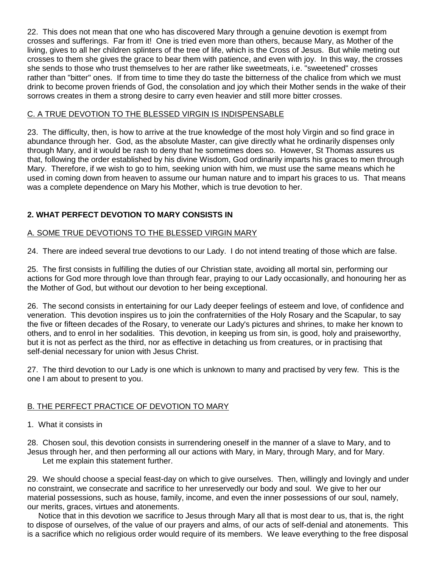22. This does not mean that one who has discovered Mary through a genuine devotion is exempt from crosses and sufferings. Far from it! One is tried even more than others, because Mary, as Mother of the living, gives to all her children splinters of the tree of life, which is the Cross of Jesus. But while meting out crosses to them she gives the grace to bear them with patience, and even with joy. In this way, the crosses she sends to those who trust themselves to her are rather like sweetmeats, i.e. "sweetened" crosses rather than "bitter" ones. If from time to time they do taste the bitterness of the chalice from which we must drink to become proven friends of God, the consolation and joy which their Mother sends in the wake of their sorrows creates in them a strong desire to carry even heavier and still more bitter crosses.

#### C. A TRUE DEVOTION TO THE BLESSED VIRGIN IS INDISPENSABLE

23. The difficulty, then, is how to arrive at the true knowledge of the most holy Virgin and so find grace in abundance through her. God, as the absolute Master, can give directly what he ordinarily dispenses only through Mary, and it would be rash to deny that he sometimes does so. However, St Thomas assures us that, following the order established by his divine Wisdom, God ordinarily imparts his graces to men through Mary. Therefore, if we wish to go to him, seeking union with him, we must use the same means which he used in coming down from heaven to assume our human nature and to impart his graces to us. That means was a complete dependence on Mary his Mother, which is true devotion to her.

## **2. WHAT PERFECT DEVOTION TO MARY CONSISTS IN**

## A. SOME TRUE DEVOTIONS TO THE BLESSED VIRGIN MARY

24. There are indeed several true devotions to our Lady. I do not intend treating of those which are false.

25. The first consists in fulfilling the duties of our Christian state, avoiding all mortal sin, performing our actions for God more through love than through fear, praying to our Lady occasionally, and honouring her as the Mother of God, but without our devotion to her being exceptional.

26. The second consists in entertaining for our Lady deeper feelings of esteem and love, of confidence and veneration. This devotion inspires us to join the confraternities of the Holy Rosary and the Scapular, to say the five or fifteen decades of the Rosary, to venerate our Lady's pictures and shrines, to make her known to others, and to enrol in her sodalities. This devotion, in keeping us from sin, is good, holy and praiseworthy, but it is not as perfect as the third, nor as effective in detaching us from creatures, or in practising that self-denial necessary for union with Jesus Christ.

27. The third devotion to our Lady is one which is unknown to many and practised by very few. This is the one I am about to present to you.

## B. THE PERFECT PRACTICE OF DEVOTION TO MARY

1. What it consists in

28. Chosen soul, this devotion consists in surrendering oneself in the manner of a slave to Mary, and to Jesus through her, and then performing all our actions with Mary, in Mary, through Mary, and for Mary. Let me explain this statement further.

29. We should choose a special feast-day on which to give ourselves. Then, willingly and lovingly and under no constraint, we consecrate and sacrifice to her unreservedly our body and soul. We give to her our material possessions, such as house, family, income, and even the inner possessions of our soul, namely, our merits, graces, virtues and atonements.

 Notice that in this devotion we sacrifice to Jesus through Mary all that is most dear to us, that is, the right to dispose of ourselves, of the value of our prayers and alms, of our acts of self-denial and atonements. This is a sacrifice which no religious order would require of its members. We leave everything to the free disposal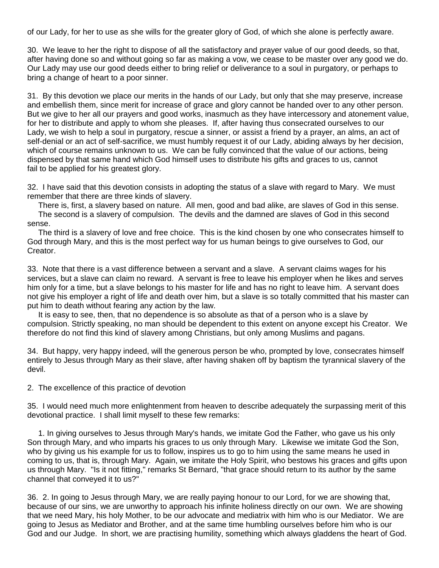of our Lady, for her to use as she wills for the greater glory of God, of which she alone is perfectly aware.

30. We leave to her the right to dispose of all the satisfactory and prayer value of our good deeds, so that, after having done so and without going so far as making a vow, we cease to be master over any good we do. Our Lady may use our good deeds either to bring relief or deliverance to a soul in purgatory, or perhaps to bring a change of heart to a poor sinner.

31. By this devotion we place our merits in the hands of our Lady, but only that she may preserve, increase and embellish them, since merit for increase of grace and glory cannot be handed over to any other person. But we give to her all our prayers and good works, inasmuch as they have intercessory and atonement value, for her to distribute and apply to whom she pleases. If, after having thus consecrated ourselves to our Lady, we wish to help a soul in purgatory, rescue a sinner, or assist a friend by a prayer, an alms, an act of self-denial or an act of self-sacrifice, we must humbly request it of our Lady, abiding always by her decision, which of course remains unknown to us. We can be fully convinced that the value of our actions, being dispensed by that same hand which God himself uses to distribute his gifts and graces to us, cannot fail to be applied for his greatest glory.

32. I have said that this devotion consists in adopting the status of a slave with regard to Mary. We must remember that there are three kinds of slavery.

There is, first, a slavery based on nature. All men, good and bad alike, are slaves of God in this sense.

 The second is a slavery of compulsion. The devils and the damned are slaves of God in this second sense.

 The third is a slavery of love and free choice. This is the kind chosen by one who consecrates himself to God through Mary, and this is the most perfect way for us human beings to give ourselves to God, our Creator.

33. Note that there is a vast difference between a servant and a slave. A servant claims wages for his services, but a slave can claim no reward. A servant is free to leave his employer when he likes and serves him only for a time, but a slave belongs to his master for life and has no right to leave him. A servant does not give his employer a right of life and death over him, but a slave is so totally committed that his master can put him to death without fearing any action by the law.

 It is easy to see, then, that no dependence is so absolute as that of a person who is a slave by compulsion. Strictly speaking, no man should be dependent to this extent on anyone except his Creator. We therefore do not find this kind of slavery among Christians, but only among Muslims and pagans.

34. But happy, very happy indeed, will the generous person be who, prompted by love, consecrates himself entirely to Jesus through Mary as their slave, after having shaken off by baptism the tyrannical slavery of the devil.

2. The excellence of this practice of devotion

35. I would need much more enlightenment from heaven to describe adequately the surpassing merit of this devotional practice. I shall limit myself to these few remarks:

 1. In giving ourselves to Jesus through Mary's hands, we imitate God the Father, who gave us his only Son through Mary, and who imparts his graces to us only through Mary. Likewise we imitate God the Son, who by giving us his example for us to follow, inspires us to go to him using the same means he used in coming to us, that is, through Mary. Again, we imitate the Holy Spirit, who bestows his graces and gifts upon us through Mary. "Is it not fitting," remarks St Bernard, "that grace should return to its author by the same channel that conveyed it to us?"

36. 2. In going to Jesus through Mary, we are really paying honour to our Lord, for we are showing that, because of our sins, we are unworthy to approach his infinite holiness directly on our own. We are showing that we need Mary, his holy Mother, to be our advocate and mediatrix with him who is our Mediator. We are going to Jesus as Mediator and Brother, and at the same time humbling ourselves before him who is our God and our Judge. In short, we are practising humility, something which always gladdens the heart of God.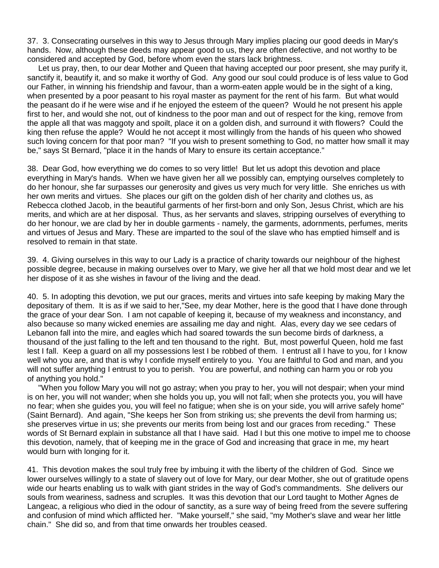37. 3. Consecrating ourselves in this way to Jesus through Mary implies placing our good deeds in Mary's hands. Now, although these deeds may appear good to us, they are often defective, and not worthy to be considered and accepted by God, before whom even the stars lack brightness.

 Let us pray, then, to our dear Mother and Queen that having accepted our poor present, she may purify it, sanctify it, beautify it, and so make it worthy of God. Any good our soul could produce is of less value to God our Father, in winning his friendship and favour, than a worm-eaten apple would be in the sight of a king, when presented by a poor peasant to his royal master as payment for the rent of his farm. But what would the peasant do if he were wise and if he enjoyed the esteem of the queen? Would he not present his apple first to her, and would she not, out of kindness to the poor man and out of respect for the king, remove from the apple all that was maggoty and spoilt, place it on a golden dish, and surround it with flowers? Could the king then refuse the apple? Would he not accept it most willingly from the hands of his queen who showed such loving concern for that poor man? "If you wish to present something to God, no matter how small it may be," says St Bernard, "place it in the hands of Mary to ensure its certain acceptance."

38. Dear God, how everything we do comes to so very little! But let us adopt this devotion and place everything in Mary's hands. When we have given her all we possibly can, emptying ourselves completely to do her honour, she far surpasses our generosity and gives us very much for very little. She enriches us with her own merits and virtues. She places our gift on the golden dish of her charity and clothes us, as Rebecca clothed Jacob, in the beautiful garments of her first-born and only Son, Jesus Christ, which are his merits, and which are at her disposal. Thus, as her servants and slaves, stripping ourselves of everything to do her honour, we are clad by her in double garments - namely, the garments, adornments, perfumes, merits and virtues of Jesus and Mary. These are imparted to the soul of the slave who has emptied himself and is resolved to remain in that state.

39. 4. Giving ourselves in this way to our Lady is a practice of charity towards our neighbour of the highest possible degree, because in making ourselves over to Mary, we give her all that we hold most dear and we let her dispose of it as she wishes in favour of the living and the dead.

40. 5. In adopting this devotion, we put our graces, merits and virtues into safe keeping by making Mary the depositary of them. It is as if we said to her,"See, my dear Mother, here is the good that I have done through the grace of your dear Son. I am not capable of keeping it, because of my weakness and inconstancy, and also because so many wicked enemies are assailing me day and night. Alas, every day we see cedars of Lebanon fall into the mire, and eagles which had soared towards the sun become birds of darkness, a thousand of the just falling to the left and ten thousand to the right. But, most powerful Queen, hold me fast lest I fall. Keep a guard on all my possessions lest I be robbed of them. I entrust all I have to you, for I know well who you are, and that is why I confide myself entirely to you. You are faithful to God and man, and you will not suffer anything I entrust to you to perish. You are powerful, and nothing can harm you or rob you of anything you hold."

 "When you follow Mary you will not go astray; when you pray to her, you will not despair; when your mind is on her, you will not wander; when she holds you up, you will not fall; when she protects you, you will have no fear; when she guides you, you will feel no fatigue; when she is on your side, you will arrive safely home" (Saint Bernard). And again, "She keeps her Son from striking us; she prevents the devil from harming us; she preserves virtue in us; she prevents our merits from being lost and our graces from receding." These words of St Bernard explain in substance all that I have said. Had I but this one motive to impel me to choose this devotion, namely, that of keeping me in the grace of God and increasing that grace in me, my heart would burn with longing for it.

41. This devotion makes the soul truly free by imbuing it with the liberty of the children of God. Since we lower ourselves willingly to a state of slavery out of love for Mary, our dear Mother, she out of gratitude opens wide our hearts enabling us to walk with giant strides in the way of God's commandments. She delivers our souls from weariness, sadness and scruples. It was this devotion that our Lord taught to Mother Agnes de Langeac, a religious who died in the odour of sanctity, as a sure way of being freed from the severe suffering and confusion of mind which afflicted her. "Make yourself," she said, "my Mother's slave and wear her little chain." She did so, and from that time onwards her troubles ceased.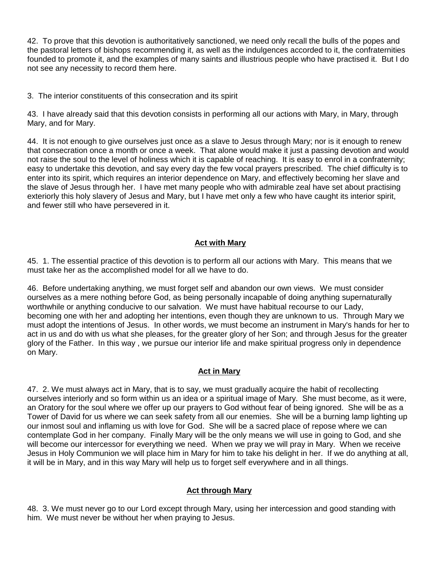42. To prove that this devotion is authoritatively sanctioned, we need only recall the bulls of the popes and the pastoral letters of bishops recommending it, as well as the indulgences accorded to it, the confraternities founded to promote it, and the examples of many saints and illustrious people who have practised it. But I do not see any necessity to record them here.

3. The interior constituents of this consecration and its spirit

43. I have already said that this devotion consists in performing all our actions with Mary, in Mary, through Mary, and for Mary.

44. It is not enough to give ourselves just once as a slave to Jesus through Mary; nor is it enough to renew that consecration once a month or once a week. That alone would make it just a passing devotion and would not raise the soul to the level of holiness which it is capable of reaching. It is easy to enrol in a confraternity; easy to undertake this devotion, and say every day the few vocal prayers prescribed. The chief difficulty is to enter into its spirit, which requires an interior dependence on Mary, and effectively becoming her slave and the slave of Jesus through her. I have met many people who with admirable zeal have set about practising exteriorly this holy slavery of Jesus and Mary, but I have met only a few who have caught its interior spirit, and fewer still who have persevered in it.

#### **Act with Mary**

45. 1. The essential practice of this devotion is to perform all our actions with Mary. This means that we must take her as the accomplished model for all we have to do.

46. Before undertaking anything, we must forget self and abandon our own views. We must consider ourselves as a mere nothing before God, as being personally incapable of doing anything supernaturally worthwhile or anything conducive to our salvation. We must have habitual recourse to our Lady, becoming one with her and adopting her intentions, even though they are unknown to us. Through Mary we must adopt the intentions of Jesus. In other words, we must become an instrument in Mary's hands for her to act in us and do with us what she pleases, for the greater glory of her Son; and through Jesus for the greater glory of the Father. In this way , we pursue our interior life and make spiritual progress only in dependence on Mary.

## **Act in Mary**

47. 2. We must always act in Mary, that is to say, we must gradually acquire the habit of recollecting ourselves interiorly and so form within us an idea or a spiritual image of Mary. She must become, as it were, an Oratory for the soul where we offer up our prayers to God without fear of being ignored. She will be as a Tower of David for us where we can seek safety from all our enemies. She will be a burning lamp lighting up our inmost soul and inflaming us with love for God. She will be a sacred place of repose where we can contemplate God in her company. Finally Mary will be the only means we will use in going to God, and she will become our intercessor for everything we need. When we pray we will pray in Mary. When we receive Jesus in Holy Communion we will place him in Mary for him to take his delight in her. If we do anything at all, it will be in Mary, and in this way Mary will help us to forget self everywhere and in all things.

## **Act through Mary**

48. 3. We must never go to our Lord except through Mary, using her intercession and good standing with him. We must never be without her when praying to Jesus.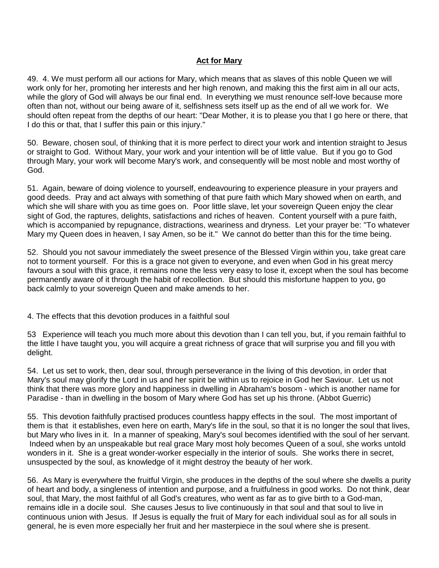## **Act for Mary**

49. 4. We must perform all our actions for Mary, which means that as slaves of this noble Queen we will work only for her, promoting her interests and her high renown, and making this the first aim in all our acts, while the glory of God will always be our final end. In everything we must renounce self-love because more often than not, without our being aware of it, selfishness sets itself up as the end of all we work for. We should often repeat from the depths of our heart: "Dear Mother, it is to please you that I go here or there, that I do this or that, that I suffer this pain or this injury."

50. Beware, chosen soul, of thinking that it is more perfect to direct your work and intention straight to Jesus or straight to God. Without Mary, your work and your intention will be of little value. But if you go to God through Mary, your work will become Mary's work, and consequently will be most noble and most worthy of God.

51. Again, beware of doing violence to yourself, endeavouring to experience pleasure in your prayers and good deeds. Pray and act always with something of that pure faith which Mary showed when on earth, and which she will share with you as time goes on. Poor little slave, let your sovereign Queen enjoy the clear sight of God, the raptures, delights, satisfactions and riches of heaven. Content yourself with a pure faith, which is accompanied by repugnance, distractions, weariness and dryness. Let your prayer be: "To whatever Mary my Queen does in heaven, I say Amen, so be it." We cannot do better than this for the time being.

52. Should you not savour immediately the sweet presence of the Blessed Virgin within you, take great care not to torment yourself. For this is a grace not given to everyone, and even when God in his great mercy favours a soul with this grace, it remains none the less very easy to lose it, except when the soul has become permanently aware of it through the habit of recollection. But should this misfortune happen to you, go back calmly to your sovereign Queen and make amends to her.

4. The effects that this devotion produces in a faithful soul

53 Experience will teach you much more about this devotion than I can tell you, but, if you remain faithful to the little I have taught you, you will acquire a great richness of grace that will surprise you and fill you with delight.

54. Let us set to work, then, dear soul, through perseverance in the living of this devotion, in order that Mary's soul may glorify the Lord in us and her spirit be within us to rejoice in God her Saviour. Let us not think that there was more glory and happiness in dwelling in Abraham's bosom - which is another name for Paradise - than in dwelling in the bosom of Mary where God has set up his throne. (Abbot Guerric)

55. This devotion faithfully practised produces countless happy effects in the soul. The most important of them is that it establishes, even here on earth, Mary's life in the soul, so that it is no longer the soul that lives, but Mary who lives in it. In a manner of speaking, Mary's soul becomes identified with the soul of her servant. Indeed when by an unspeakable but real grace Mary most holy becomes Queen of a soul, she works untold wonders in it. She is a great wonder-worker especially in the interior of souls. She works there in secret, unsuspected by the soul, as knowledge of it might destroy the beauty of her work.

56. As Mary is everywhere the fruitful Virgin, she produces in the depths of the soul where she dwells a purity of heart and body, a singleness of intention and purpose, and a fruitfulness in good works. Do not think, dear soul, that Mary, the most faithful of all God's creatures, who went as far as to give birth to a God-man, remains idle in a docile soul. She causes Jesus to live continuously in that soul and that soul to live in continuous union with Jesus. If Jesus is equally the fruit of Mary for each individual soul as for all souls in general, he is even more especially her fruit and her masterpiece in the soul where she is present.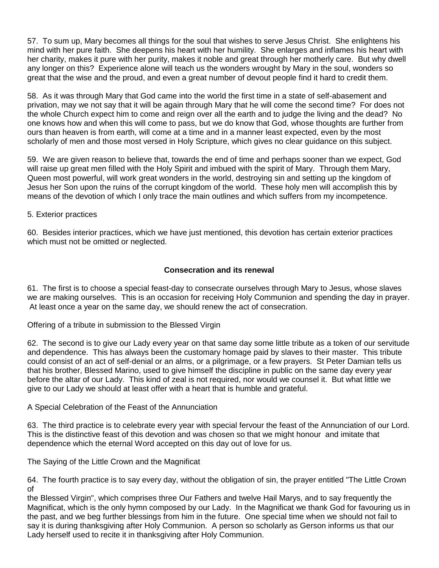57. To sum up, Mary becomes all things for the soul that wishes to serve Jesus Christ. She enlightens his mind with her pure faith. She deepens his heart with her humility. She enlarges and inflames his heart with her charity, makes it pure with her purity, makes it noble and great through her motherly care. But why dwell any longer on this? Experience alone will teach us the wonders wrought by Mary in the soul, wonders so great that the wise and the proud, and even a great number of devout people find it hard to credit them.

58. As it was through Mary that God came into the world the first time in a state of self-abasement and privation, may we not say that it will be again through Mary that he will come the second time? For does not the whole Church expect him to come and reign over all the earth and to judge the living and the dead? No one knows how and when this will come to pass, but we do know that God, whose thoughts are further from ours than heaven is from earth, will come at a time and in a manner least expected, even by the most scholarly of men and those most versed in Holy Scripture, which gives no clear guidance on this subject.

59. We are given reason to believe that, towards the end of time and perhaps sooner than we expect, God will raise up great men filled with the Holy Spirit and imbued with the spirit of Mary. Through them Mary, Queen most powerful, will work great wonders in the world, destroying sin and setting up the kingdom of Jesus her Son upon the ruins of the corrupt kingdom of the world. These holy men will accomplish this by means of the devotion of which I only trace the main outlines and which suffers from my incompetence.

#### 5. Exterior practices

60. Besides interior practices, which we have just mentioned, this devotion has certain exterior practices which must not be omitted or neglected.

#### **Consecration and its renewal**

61. The first is to choose a special feast-day to consecrate ourselves through Mary to Jesus, whose slaves we are making ourselves. This is an occasion for receiving Holy Communion and spending the day in prayer. At least once a year on the same day, we should renew the act of consecration.

Offering of a tribute in submission to the Blessed Virgin

62. The second is to give our Lady every year on that same day some little tribute as a token of our servitude and dependence. This has always been the customary homage paid by slaves to their master. This tribute could consist of an act of self-denial or an alms, or a pilgrimage, or a few prayers. St Peter Damian tells us that his brother, Blessed Marino, used to give himself the discipline in public on the same day every year before the altar of our Lady. This kind of zeal is not required, nor would we counsel it. But what little we give to our Lady we should at least offer with a heart that is humble and grateful.

A Special Celebration of the Feast of the Annunciation

63. The third practice is to celebrate every year with special fervour the feast of the Annunciation of our Lord. This is the distinctive feast of this devotion and was chosen so that we might honour and imitate that dependence which the eternal Word accepted on this day out of love for us.

The Saying of the Little Crown and the Magnificat

64. The fourth practice is to say every day, without the obligation of sin, the prayer entitled "The Little Crown of

the Blessed Virgin", which comprises three Our Fathers and twelve Hail Marys, and to say frequently the Magnificat, which is the only hymn composed by our Lady. In the Magnificat we thank God for favouring us in the past, and we beg further blessings from him in the future. One special time when we should not fail to say it is during thanksgiving after Holy Communion. A person so scholarly as Gerson informs us that our Lady herself used to recite it in thanksgiving after Holy Communion.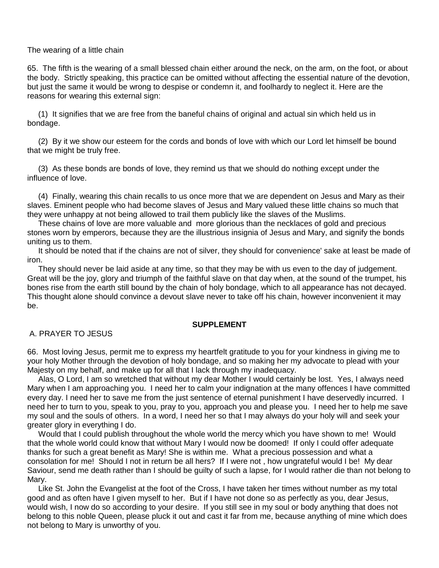#### The wearing of a little chain

65. The fifth is the wearing of a small blessed chain either around the neck, on the arm, on the foot, or about the body. Strictly speaking, this practice can be omitted without affecting the essential nature of the devotion, but just the same it would be wrong to despise or condemn it, and foolhardy to neglect it. Here are the reasons for wearing this external sign:

 (1) It signifies that we are free from the baneful chains of original and actual sin which held us in bondage.

 (2) By it we show our esteem for the cords and bonds of love with which our Lord let himself be bound that we might be truly free.

 (3) As these bonds are bonds of love, they remind us that we should do nothing except under the influence of love.

 (4) Finally, wearing this chain recalls to us once more that we are dependent on Jesus and Mary as their slaves. Eminent people who had become slaves of Jesus and Mary valued these little chains so much that they were unhappy at not being allowed to trail them publicly like the slaves of the Muslims.

 These chains of love are more valuable and more glorious than the necklaces of gold and precious stones worn by emperors, because they are the illustrious insignia of Jesus and Mary, and signify the bonds uniting us to them.

 It should be noted that if the chains are not of silver, they should for convenience' sake at least be made of iron.

 They should never be laid aside at any time, so that they may be with us even to the day of judgement. Great will be the joy, glory and triumph of the faithful slave on that day when, at the sound of the trumpet, his bones rise from the earth still bound by the chain of holy bondage, which to all appearance has not decayed. This thought alone should convince a devout slave never to take off his chain, however inconvenient it may be.

#### **SUPPLEMENT**

#### A. PRAYER TO JESUS

66. Most loving Jesus, permit me to express my heartfelt gratitude to you for your kindness in giving me to your holy Mother through the devotion of holy bondage, and so making her my advocate to plead with your Majesty on my behalf, and make up for all that I lack through my inadequacy.

 Alas, O Lord, I am so wretched that without my dear Mother I would certainly be lost. Yes, I always need Mary when I am approaching you. I need her to calm your indignation at the many offences I have committed every day. I need her to save me from the just sentence of eternal punishment I have deservedly incurred. I need her to turn to you, speak to you, pray to you, approach you and please you. I need her to help me save my soul and the souls of others. In a word, I need her so that I may always do your holy will and seek your greater glory in everything I do.

 Would that I could publish throughout the whole world the mercy which you have shown to me! Would that the whole world could know that without Mary I would now be doomed! If only I could offer adequate thanks for such a great benefit as Mary! She is within me. What a precious possession and what a consolation for me! Should I not in return be all hers? If I were not , how ungrateful would I be! My dear Saviour, send me death rather than I should be guilty of such a lapse, for I would rather die than not belong to Mary.

 Like St. John the Evangelist at the foot of the Cross, I have taken her times without number as my total good and as often have I given myself to her. But if I have not done so as perfectly as you, dear Jesus, would wish, I now do so according to your desire. If you still see in my soul or body anything that does not belong to this noble Queen, please pluck it out and cast it far from me, because anything of mine which does not belong to Mary is unworthy of you.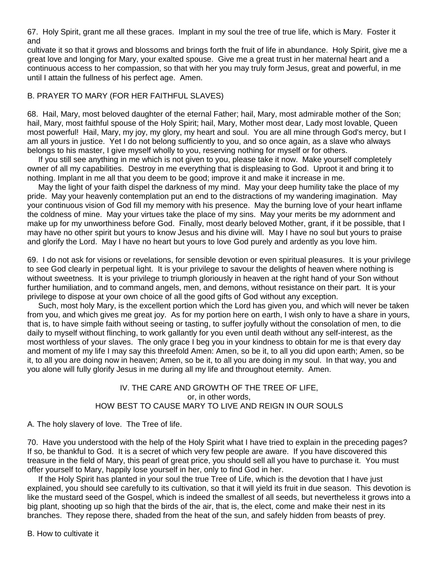67. Holy Spirit, grant me all these graces. Implant in my soul the tree of true life, which is Mary. Foster it and

cultivate it so that it grows and blossoms and brings forth the fruit of life in abundance. Holy Spirit, give me a great love and longing for Mary, your exalted spouse. Give me a great trust in her maternal heart and a continuous access to her compassion, so that with her you may truly form Jesus, great and powerful, in me until I attain the fullness of his perfect age. Amen.

#### B. PRAYER TO MARY (FOR HER FAITHFUL SLAVES)

68. Hail, Mary, most beloved daughter of the eternal Father; hail, Mary, most admirable mother of the Son; hail, Mary, most faithful spouse of the Holy Spirit; hail, Mary, Mother most dear, Lady most lovable, Queen most powerful! Hail, Mary, my joy, my glory, my heart and soul. You are all mine through God's mercy, but I am all yours in justice. Yet I do not belong sufficiently to you, and so once again, as a slave who always belongs to his master, I give myself wholly to you, reserving nothing for myself or for others.

 If you still see anything in me which is not given to you, please take it now. Make yourself completely owner of all my capabilities. Destroy in me everything that is displeasing to God. Uproot it and bring it to nothing. Implant in me all that you deem to be good; improve it and make it increase in me.

 May the light of your faith dispel the darkness of my mind. May your deep humility take the place of my pride. May your heavenly contemplation put an end to the distractions of my wandering imagination. May your continuous vision of God fill my memory with his presence. May the burning love of your heart inflame the coldness of mine. May your virtues take the place of my sins. May your merits be my adornment and make up for my unworthiness before God. Finally, most dearly beloved Mother, grant, if it be possible, that I may have no other spirit but yours to know Jesus and his divine will. May I have no soul but yours to praise and glorify the Lord. May I have no heart but yours to love God purely and ardently as you love him.

69. I do not ask for visions or revelations, for sensible devotion or even spiritual pleasures. It is your privilege to see God clearly in perpetual light. It is your privilege to savour the delights of heaven where nothing is without sweetness. It is your privilege to triumph gloriously in heaven at the right hand of your Son without further humiliation, and to command angels, men, and demons, without resistance on their part. It is your privilege to dispose at your own choice of all the good gifts of God without any exception.

 Such, most holy Mary, is the excellent portion which the Lord has given you, and which will never be taken from you, and which gives me great joy. As for my portion here on earth, I wish only to have a share in yours, that is, to have simple faith without seeing or tasting, to suffer joyfully without the consolation of men, to die daily to myself without flinching, to work gallantly for you even until death without any self-interest, as the most worthless of your slaves. The only grace I beg you in your kindness to obtain for me is that every day and moment of my life I may say this threefold Amen: Amen, so be it, to all you did upon earth; Amen, so be it, to all you are doing now in heaven; Amen, so be it, to all you are doing in my soul. In that way, you and you alone will fully glorify Jesus in me during all my life and throughout eternity. Amen.

#### IV. THE CARE AND GROWTH OF THE TREE OF LIFE, or, in other words, HOW BEST TO CAUSE MARY TO LIVE AND REIGN IN OUR SOULS

#### A. The holy slavery of love. The Tree of life.

70. Have you understood with the help of the Holy Spirit what I have tried to explain in the preceding pages? If so, be thankful to God. It is a secret of which very few people are aware. If you have discovered this treasure in the field of Mary, this pearl of great price, you should sell all you have to purchase it. You must offer yourself to Mary, happily lose yourself in her, only to find God in her.

 If the Holy Spirit has planted in your soul the true Tree of Life, which is the devotion that I have just explained, you should see carefully to its cultivation, so that it will yield its fruit in due season. This devotion is like the mustard seed of the Gospel, which is indeed the smallest of all seeds, but nevertheless it grows into a big plant, shooting up so high that the birds of the air, that is, the elect, come and make their nest in its branches. They repose there, shaded from the heat of the sun, and safely hidden from beasts of prey.